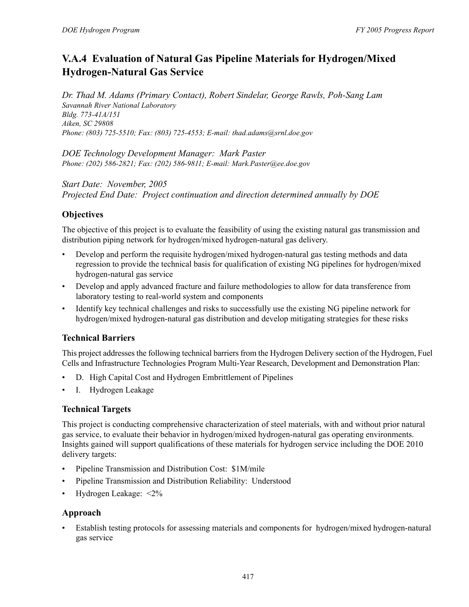# **V.A.4 Evaluation of Natural Gas Pipeline Materials for Hydrogen/Mixed Hydrogen-Natural Gas Service**

*Dr. Thad M. Adams (Primary Contact), Robert Sindelar, George Rawls, Poh-Sang Lam Savannah River National Laboratory Bldg. 773-41A/151 Aiken, SC 29808 Phone: (803) 725-5510; Fax: (803) 725-4553; E-mail: thad.adams@srnl.doe.gov*

*DOE Technology Development Manager: Mark Paster Phone: (202) 586-2821; Fax: (202) 586-9811; E-mail: Mark.Paster@ee.doe.gov*

*Start Date: November, 2005 Projected End Date: Project continuation and direction determined annually by DOE*

# **Objectives**

The objective of this project is to evaluate the feasibility of using the existing natural gas transmission and distribution piping network for hydrogen/mixed hydrogen-natural gas delivery.

- Develop and perform the requisite hydrogen/mixed hydrogen-natural gas testing methods and data regression to provide the technical basis for qualification of existing NG pipelines for hydrogen/mixed hydrogen-natural gas service
- Develop and apply advanced fracture and failure methodologies to allow for data transference from laboratory testing to real-world system and components
- Identify key technical challenges and risks to successfully use the existing NG pipeline network for hydrogen/mixed hydrogen-natural gas distribution and develop mitigating strategies for these risks

# **Technical Barriers**

This project addresses the following technical barriers from the Hydrogen Delivery section of the Hydrogen, Fuel Cells and Infrastructure Technologies Program Multi-Year Research, Development and Demonstration Plan:

- D. High Capital Cost and Hydrogen Embrittlement of Pipelines
- I. Hydrogen Leakage

# **Technical Targets**

This project is conducting comprehensive characterization of steel materials, with and without prior natural gas service, to evaluate their behavior in hydrogen/mixed hydrogen-natural gas operating environments. Insights gained will support qualifications of these materials for hydrogen service including the DOE 2010 delivery targets:

- Pipeline Transmission and Distribution Cost: \$1M/mile
- Pipeline Transmission and Distribution Reliability: Understood
- Hydrogen Leakage: <2%

## **Approach**

• Establish testing protocols for assessing materials and components for hydrogen/mixed hydrogen-natural gas service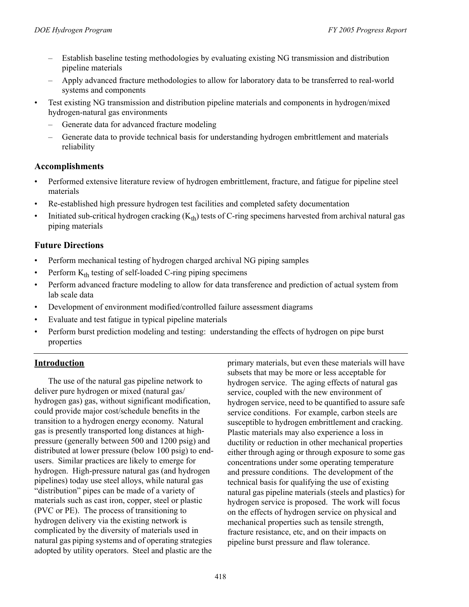- Establish baseline testing methodologies by evaluating existing NG transmission and distribution pipeline materials
- Apply advanced fracture methodologies to allow for laboratory data to be transferred to real-world systems and components
- Test existing NG transmission and distribution pipeline materials and components in hydrogen/mixed hydrogen-natural gas environments
	- Generate data for advanced fracture modeling
	- Generate data to provide technical basis for understanding hydrogen embrittlement and materials reliability

#### **Accomplishments**

- Performed extensive literature review of hydrogen embrittlement, fracture, and fatigue for pipeline steel materials
- Re-established high pressure hydrogen test facilities and completed safety documentation
- Initiated sub-critical hydrogen cracking  $(K<sub>th</sub>)$  tests of C-ring specimens harvested from archival natural gas piping materials

## **Future Directions**

- Perform mechanical testing of hydrogen charged archival NG piping samples
- Perform  $K<sub>th</sub>$  testing of self-loaded C-ring piping specimens
- Perform advanced fracture modeling to allow for data transference and prediction of actual system from lab scale data
- Development of environment modified/controlled failure assessment diagrams
- Evaluate and test fatigue in typical pipeline materials
- Perform burst prediction modeling and testing: understanding the effects of hydrogen on pipe burst properties

## **Introduction**

The use of the natural gas pipeline network to deliver pure hydrogen or mixed (natural gas/ hydrogen gas) gas, without significant modification, could provide major cost/schedule benefits in the transition to a hydrogen energy economy. Natural gas is presently transported long distances at highpressure (generally between 500 and 1200 psig) and distributed at lower pressure (below 100 psig) to endusers. Similar practices are likely to emerge for hydrogen. High-pressure natural gas (and hydrogen pipelines) today use steel alloys, while natural gas "distribution" pipes can be made of a variety of materials such as cast iron, copper, steel or plastic (PVC or PE). The process of transitioning to hydrogen delivery via the existing network is complicated by the diversity of materials used in natural gas piping systems and of operating strategies adopted by utility operators. Steel and plastic are the

primary materials, but even these materials will have subsets that may be more or less acceptable for hydrogen service. The aging effects of natural gas service, coupled with the new environment of hydrogen service, need to be quantified to assure safe service conditions. For example, carbon steels are susceptible to hydrogen embrittlement and cracking. Plastic materials may also experience a loss in ductility or reduction in other mechanical properties either through aging or through exposure to some gas concentrations under some operating temperature and pressure conditions. The development of the technical basis for qualifying the use of existing natural gas pipeline materials (steels and plastics) for hydrogen service is proposed. The work will focus on the effects of hydrogen service on physical and mechanical properties such as tensile strength, fracture resistance, etc, and on their impacts on pipeline burst pressure and flaw tolerance.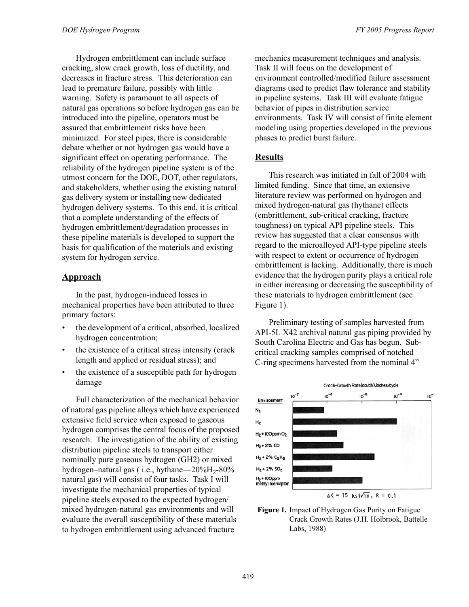Hydrogen embrittlement can include surface cracking, slow crack growth, loss of ductility, and decreases in fracture stress. This deterioration can lead to premature failure, possibly with little warning. Safety is paramount to all aspects of natural gas operations so before hydrogen gas can be introduced into the pipeline, operators must be assured that embrittlement risks have been minimized. For steel pipes, there is considerable debate whether or not hydrogen gas would have a significant effect on operating performance. The reliability of the hydrogen pipeline system is of the utmost concern for the DOE, DOT, other regulators, and stakeholders, whether using the existing natural gas delivery system or installing new dedicated hydrogen delivery systems. To this end, it is critical that a complete understanding of the effects of hydrogen embrittlement/degradation processes in these pipeline materials is developed to support the basis for qualification of the materials and existing system for hydrogen service.

#### **Approach**

In the past, hydrogen-induced losses in mechanical properties have been attributed to three primary factors:

- the development of a critical, absorbed, localized hydrogen concentration;
- the existence of a critical stress intensity (crack length and applied or residual stress); and
- the existence of a susceptible path for hydrogen damage

Full characterization of the mechanical behavior of natural gas pipeline alloys which have experienced extensive field service when exposed to gaseous hydrogen comprises the central focus of the proposed research. The investigation of the ability of existing distribution pipeline steels to transport either nominally pure gaseous hydrogen (GH2) or mixed hydrogen–natural gas  $(i.e., hythane—20\%H<sub>2</sub>-80\%$ natural gas) will consist of four tasks. Task I will investigate the mechanical properties of typical pipeline steels exposed to the expected hydrogen/ mixed hydrogen-natural gas environments and will evaluate the overall susceptibility of these materials to hydrogen embrittlement using advanced fracture

mechanics measurement techniques and analysis. Task II will focus on the development of environment controlled/modified failure assessment diagrams used to predict flaw tolerance and stability in pipeline systems. Task III will evaluate fatigue behavior of pipes in distribution service environments. Task IV will consist of finite element modeling using properties developed in the previous phases to predict burst failure.

#### **Results**

This research was initiated in fall of 2004 with limited funding. Since that time, an extensive literature review was performed on hydrogen and mixed hydrogen-natural gas (hythane) effects (embrittlement, sub-critical cracking, fracture toughness) on typical API pipeline steels. This review has suggested that a clear consensus with regard to the microalloyed API-type pipeline steels with respect to extent or occurrence of hydrogen embrittlement is lacking. Additionally, there is much evidence that the hydrogen purity plays a critical role in either increasing or decreasing the susceptibility of these materials to hydrogen embrittlement (see Figure 1).

Preliminary testing of samples harvested from API-5L X42 archival natural gas piping provided by South Carolina Electric and Gas has begun. Subcritical cracking samples comprised of notched C-ring specimens harvested from the nominal 4"



**Figure 1.** Impact of Hydrogen Gas Purity on Fatigue Crack Growth Rates (J.H. Holbrook, Battelle Labs, 1988)